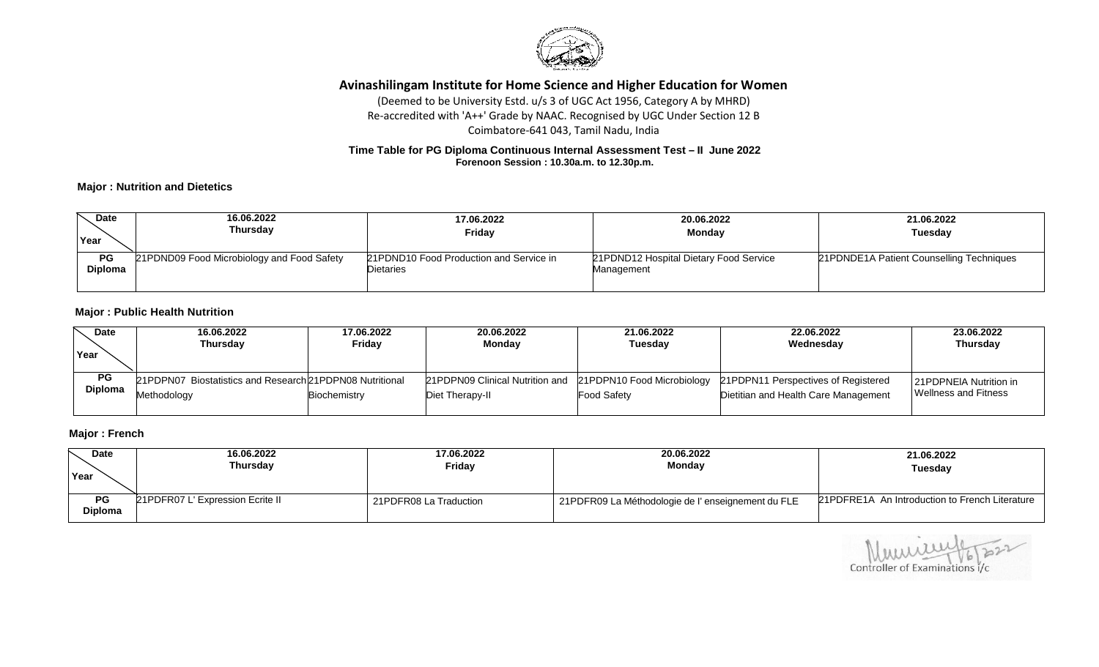

# **Avinashilingam Institute for Home Science and Higher Education for Women**

(Deemed to be University Estd. u/s 3 of UGC Act 1956, Category A by MHRD) Re-accredited with 'A++' Grade by NAAC. Recognised by UGC Under Section 12 B Coimbatore-641 043, Tamil Nadu, India

### **Time Table for PG Diploma Continuous Internal Assessment Test – II June 2022 Forenoon Session : 10.30a.m. to 12.30p.m.**

## **Major : Nutrition and Dietetics**

| <b>Date</b><br>Year         | 16.06.2022<br>Thursday                     | 17.06.2022<br><b>Fridav</b>                          | 20.06.2022<br><b>Monday</b>                          | 21.06.2022<br>Tuesday                    |
|-----------------------------|--------------------------------------------|------------------------------------------------------|------------------------------------------------------|------------------------------------------|
| <b>PG</b><br><b>Diploma</b> | 21PDND09 Food Microbiology and Food Safety | 21PDND10 Food Production and Service in<br>Dietaries | 21PDND12 Hospital Dietary Food Service<br>Management | 21PDNDE1A Patient Counselling Techniques |
|                             |                                            |                                                      |                                                      |                                          |

#### **Major : Public Health Nutrition**

| <b>Date</b>                 | 16.06.2022                                                              | 17.06.2022          | 20.06.2022                                                                    | 21.06.2022         | 22.06.2022                                                                  | 23.06.2022                                     |
|-----------------------------|-------------------------------------------------------------------------|---------------------|-------------------------------------------------------------------------------|--------------------|-----------------------------------------------------------------------------|------------------------------------------------|
| Year                        | Thursday                                                                | Fridav              | Monday                                                                        | <b>Tuesday</b>     | Wednesday                                                                   | <b>Thursday</b>                                |
| <b>PG</b><br><b>Diploma</b> | 21PDPN07 Biostatistics and Research 21PDPN08 Nutritional<br>Methodoloav | <b>Biochemistry</b> | 21PDPN09 Clinical Nutrition and 21PDPN10 Food Microbiology<br>Diet Therapy-II | <b>Food Safety</b> | 21PDPN11 Perspectives of Registered<br>Dietitian and Health Care Management | 21PDPNEIA Nutrition in<br>Wellness and Fitness |

## **Major : French**

| <b>Date</b>                 | 16.06.2022                       | 17.06.2022             | 20.06.2022                                        | 21.06.2022                                     |
|-----------------------------|----------------------------------|------------------------|---------------------------------------------------|------------------------------------------------|
| Year                        | Thursdav                         | Friday                 | <b>Monday</b>                                     | Tuesdav                                        |
| <b>PG</b><br><b>Diploma</b> | 21PDFR07 L' Expression Ecrite II | 21PDFR08 La Traduction | 21PDFR09 La Méthodologie de l'enseignement du FLE | 21PDFRE1A An Introduction to French Literature |

Controller of Examinations i/c